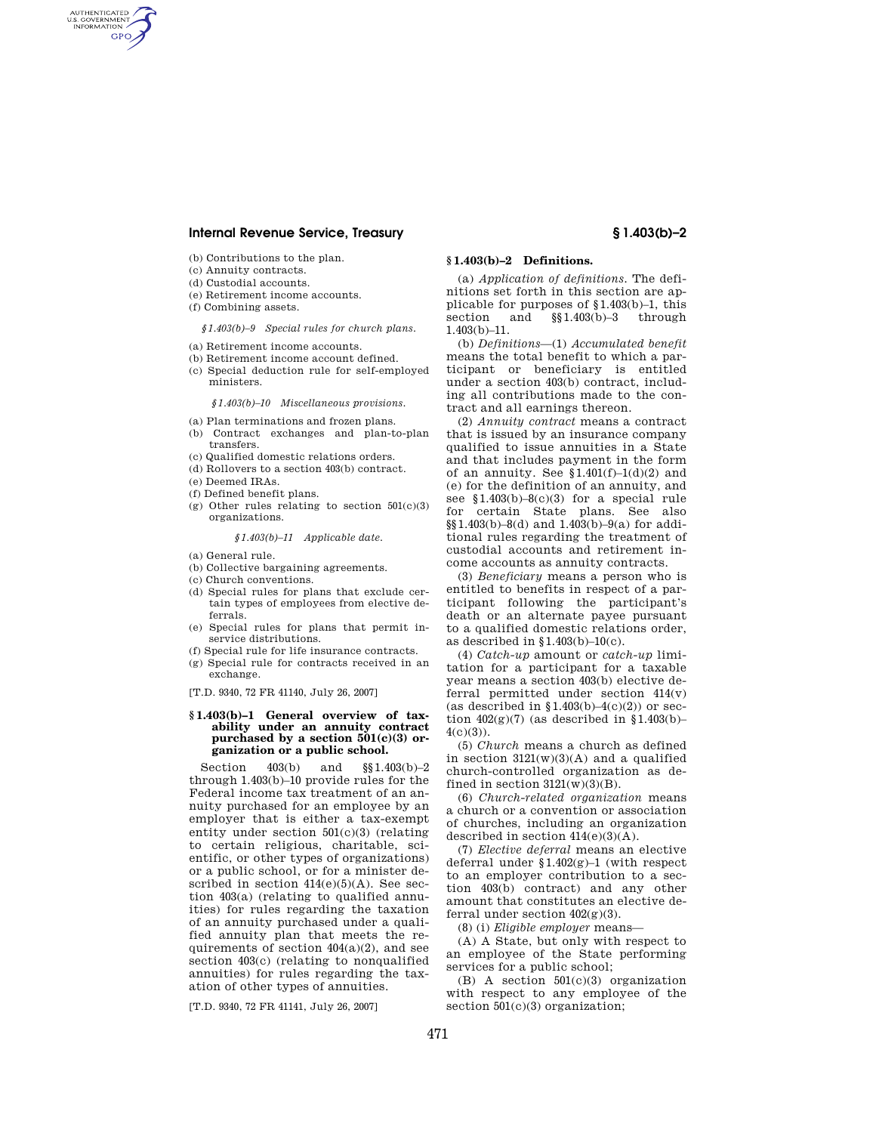# **Internal Revenue Service, Treasury § 1.403(b)–2**

- (b) Contributions to the plan.
- (c) Annuity contracts.

AUTHENTICATED<br>U.S. GOVERNMENT<br>INFORMATION **GPO** 

- (d) Custodial accounts.
- (e) Retirement income accounts.
- (f) Combining assets.

*§1.403(b)–9 Special rules for church plans.* 

- (a) Retirement income accounts.
- (b) Retirement income account defined.
- (c) Special deduction rule for self-employed ministers.

*§1.403(b)–10 Miscellaneous provisions.* 

- (a) Plan terminations and frozen plans. (b) Contract exchanges and plan-to-plan
- transfers. (c) Qualified domestic relations orders.
- (d) Rollovers to a section 403(b) contract.
- (e) Deemed IRAs.
- 
- (f) Defined benefit plans.
- (g) Other rules relating to section  $501(c)(3)$ organizations.

### *§1.403(b)–11 Applicable date.*

- (a) General rule.
- (b) Collective bargaining agreements.
- (c) Church conventions.
- (d) Special rules for plans that exclude certain types of employees from elective deferrals.
- (e) Special rules for plans that permit inservice distributions.
- (f) Special rule for life insurance contracts.
- (g) Special rule for contracts received in an exchange.

[T.D. 9340, 72 FR 41140, July 26, 2007]

### **§ 1.403(b)–1 General overview of taxability under an annuity contract purchased by a section 501(c)(3) organization or a public school.**

Section 403(b) and §§1.403(b)–2 through 1.403(b)–10 provide rules for the Federal income tax treatment of an annuity purchased for an employee by an employer that is either a tax-exempt entity under section  $501(c)(3)$  (relating to certain religious, charitable, scientific, or other types of organizations) or a public school, or for a minister described in section  $414(e)(5)(A)$ . See section 403(a) (relating to qualified annuities) for rules regarding the taxation of an annuity purchased under a qualified annuity plan that meets the requirements of section  $404(a)(2)$ , and see section 403(c) (relating to nonqualified annuities) for rules regarding the taxation of other types of annuities.

[T.D. 9340, 72 FR 41141, July 26, 2007]

## **§ 1.403(b)–2 Definitions.**

(a) *Application of definitions.* The definitions set forth in this section are applicable for purposes of  $$1.403(b)-1$ , this section and  $$1.403(b)-3$  through section and  $$1.403(b)=3$  through  $1.403(b) - 11$ 

(b) *Definitions*—(1) *Accumulated benefit*  means the total benefit to which a participant or beneficiary is entitled under a section 403(b) contract, including all contributions made to the contract and all earnings thereon.

(2) *Annuity contract* means a contract that is issued by an insurance company qualified to issue annuities in a State and that includes payment in the form of an annuity. See  $$1.401(f)-1(d)(2)$  and (e) for the definition of an annuity, and see  $$1.403(b)-8(c)(3)$  for a special rule for certain State plans. See also §§1.403(b)–8(d) and 1.403(b)–9(a) for additional rules regarding the treatment of custodial accounts and retirement income accounts as annuity contracts.

(3) *Beneficiary* means a person who is entitled to benefits in respect of a participant following the participant's death or an alternate payee pursuant to a qualified domestic relations order as described in  $$1.403(b)-10(c)$ .

(4) *Catch-up* amount or *catch-up* limitation for a participant for a taxable year means a section 403(b) elective deferral permitted under section 414(v) (as described in  $$1.403(b)-4(c)(2))$  or section  $402(g)(7)$  (as described in §1.403(b)- $4(c)(3)$ ).

(5) *Church* means a church as defined in section  $3121(w)(3)(A)$  and a qualified church-controlled organization as defined in section  $3121(w)(3)(B)$ .

(6) *Church-related organization* means a church or a convention or association of churches, including an organization described in section  $414(e)(3)(A)$ .

(7) *Elective deferral* means an elective deferral under §1.402(g)–1 (with respect to an employer contribution to a section 403(b) contract) and any other amount that constitutes an elective deferral under section 402(g)(3).

(8) (i) *Eligible employer* means—

(A) A State, but only with respect to an employee of the State performing services for a public school;

(B) A section 501(c)(3) organization with respect to any employee of the section  $501(c)(3)$  organization;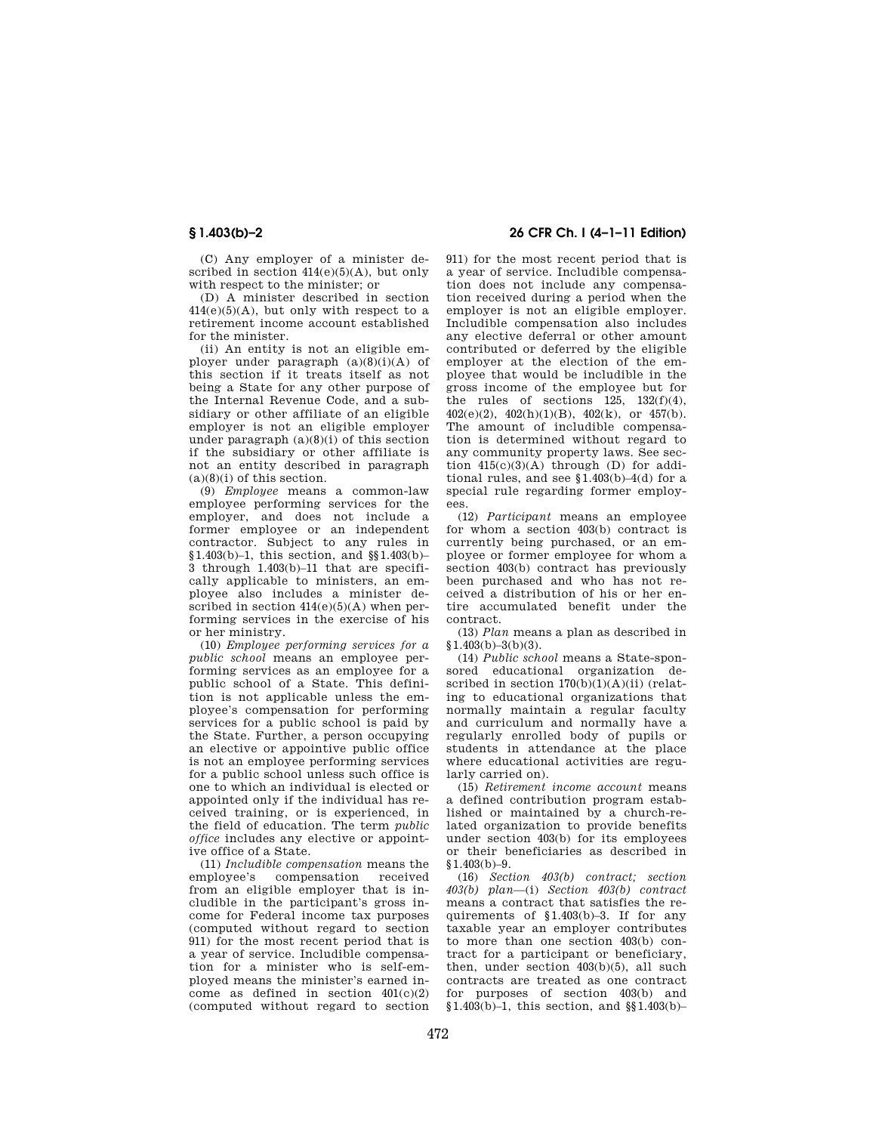(C) Any employer of a minister described in section  $414(e)(5)(A)$ , but only with respect to the minister; or

(D) A minister described in section  $414(e)(5)(A)$ , but only with respect to a retirement income account established for the minister.

(ii) An entity is not an eligible employer under paragraph  $(a)(8)(i)(A)$  of this section if it treats itself as not being a State for any other purpose of the Internal Revenue Code, and a subsidiary or other affiliate of an eligible employer is not an eligible employer under paragraph  $(a)(8)(i)$  of this section if the subsidiary or other affiliate is not an entity described in paragraph  $(a)(8)(i)$  of this section.

(9) *Employee* means a common-law employee performing services for the employer, and does not include a former employee or an independent contractor. Subject to any rules in §1.403(b)–1, this section, and §§1.403(b)– 3 through 1.403(b)–11 that are specifically applicable to ministers, an employee also includes a minister described in section  $414(e)(5)(A)$  when performing services in the exercise of his or her ministry.

(10) *Employee performing services for a public school* means an employee performing services as an employee for a public school of a State. This definition is not applicable unless the employee's compensation for performing services for a public school is paid by the State. Further, a person occupying an elective or appointive public office is not an employee performing services for a public school unless such office is one to which an individual is elected or appointed only if the individual has received training, or is experienced, in the field of education. The term *public office* includes any elective or appointive office of a State.

(11) *Includible compensation* means the compensation received from an eligible employer that is includible in the participant's gross income for Federal income tax purposes (computed without regard to section 911) for the most recent period that is a year of service. Includible compensation for a minister who is self-employed means the minister's earned income as defined in section  $401(c)(2)$ (computed without regard to section

# **§ 1.403(b)–2 26 CFR Ch. I (4–1–11 Edition)**

911) for the most recent period that is a year of service. Includible compensation does not include any compensation received during a period when the employer is not an eligible employer. Includible compensation also includes any elective deferral or other amount contributed or deferred by the eligible employer at the election of the employee that would be includible in the gross income of the employee but for the rules of sections  $125$ ,  $132(f)(4)$ ,  $402(e)(2)$ ,  $402(h)(1)(B)$ ,  $402(k)$ , or  $457(h)$ . The amount of includible compensation is determined without regard to any community property laws. See section  $415(c)(3)(A)$  through (D) for additional rules, and see  $1.403(b) - 4(d)$  for a special rule regarding former employees.

(12) *Participant* means an employee for whom a section 403(b) contract is currently being purchased, or an employee or former employee for whom a section 403(b) contract has previously been purchased and who has not received a distribution of his or her entire accumulated benefit under the contract.

(13) *Plan* means a plan as described in  $$1.403(b)-3(b)(3).$ 

(14) *Public school* means a State-sponsored educational organization described in section  $170(b)(1)(A)(ii)$  (relating to educational organizations that normally maintain a regular faculty and curriculum and normally have a regularly enrolled body of pupils or students in attendance at the place where educational activities are regularly carried on).

(15) *Retirement income account* means a defined contribution program established or maintained by a church-related organization to provide benefits under section 403(b) for its employees or their beneficiaries as described in  $$1.403(b)-9.$ 

(16) *Section 403(b) contract; section 403(b) plan*—(i) *Section 403(b) contract*  means a contract that satisfies the requirements of §1.403(b)–3. If for any taxable year an employer contributes to more than one section 403(b) contract for a participant or beneficiary, then, under section 403(b)(5), all such contracts are treated as one contract for purposes of section 403(b) and  $§1.403(b)-1,$  this section, and  $§§1.403(b)-$